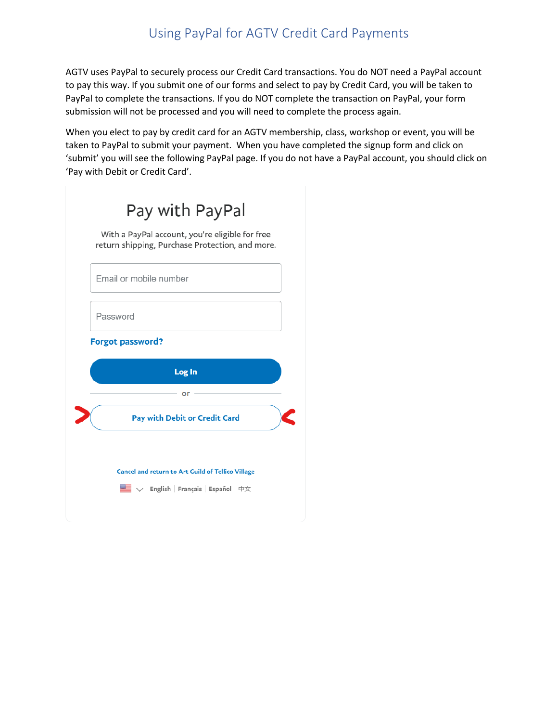## Using PayPal for AGTV Credit Card Payments

AGTV uses PayPal to securely process our Credit Card transactions. You do NOT need a PayPal account to pay this way. If you submit one of our forms and select to pay by Credit Card, you will be taken to PayPal to complete the transactions. If you do NOT complete the transaction on PayPal, your form submission will not be processed and you will need to complete the process again.

When you elect to pay by credit card for an AGTV membership, class, workshop or event, you will be taken to PayPal to submit your payment. When you have completed the signup form and click on 'submit' you will see the following PayPal page. If you do not have a PayPal account, you should click on 'Pay with Debit or Credit Card'.

| Pay with PayPal                                                                                    |
|----------------------------------------------------------------------------------------------------|
| With a PayPal account, you're eligible for free<br>return shipping, Purchase Protection, and more. |
| Email or mobile number                                                                             |
| Password                                                                                           |
| <b>Forgot password?</b>                                                                            |
| Log In                                                                                             |
|                                                                                                    |
| or                                                                                                 |
| Pay with Debit or Credit Card                                                                      |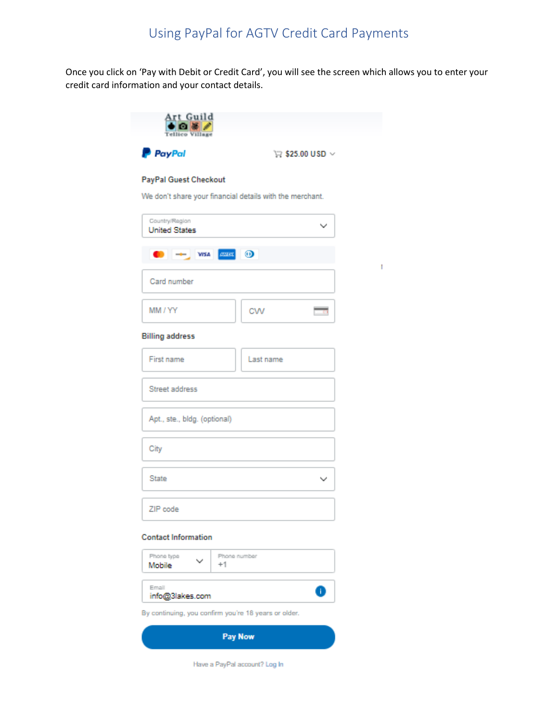Once you click on 'Pay with Debit or Credit Card', you will see the screen which allows you to enter your credit card information and your contact details.

| Art Guild<br>Telli                                                                       |                                             |
|------------------------------------------------------------------------------------------|---------------------------------------------|
| P PayPal                                                                                 | $\triangledown$ \$25.00 USD $\triangledown$ |
| <b>PayPal Guest Checkout</b><br>We don't share your financial details with the merchant. |                                             |
| Country/Region                                                                           |                                             |
| <b>United States</b>                                                                     | ◡                                           |
|                                                                                          |                                             |
| Card number                                                                              |                                             |
| MM / YY                                                                                  | CW                                          |
| <b>Billing address</b>                                                                   |                                             |
| First name                                                                               | Last name                                   |
| Street address                                                                           |                                             |
| Apt., ste., bldg. (optional)                                                             |                                             |
| City                                                                                     |                                             |
| <b>State</b>                                                                             | v                                           |
| ZIP code                                                                                 |                                             |

 $\mathbf{I}$ 

## **Contact Information**

| Phone type<br>Mobile                                 | $\checkmark$ | Phone number |  |
|------------------------------------------------------|--------------|--------------|--|
| Email<br>info@3lakes.com                             |              | п            |  |
| By continuing, you confirm you're 18 years or older. |              |              |  |

Pay Now

Have a PayPal account? Log In